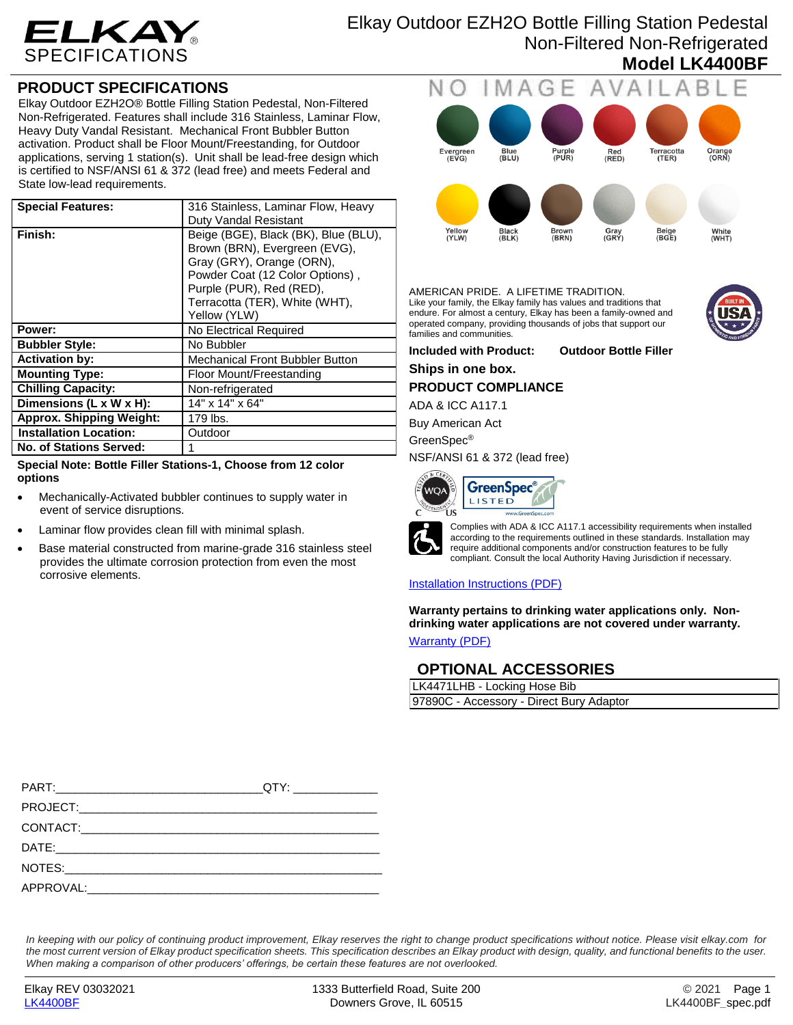

Elkay Outdoor EZH2O Bottle Filling Station Pedestal Non-Filtered Non-Refrigerated **Model LK4400BF**

## **PRODUCT SPECIFICATIONS**

Elkay Outdoor EZH2O® Bottle Filling Station Pedestal, Non-Filtered Non-Refrigerated. Features shall include 316 Stainless, Laminar Flow, Heavy Duty Vandal Resistant. Mechanical Front Bubbler Button activation. Product shall be Floor Mount/Freestanding, for Outdoor applications, serving 1 station(s). Unit shall be lead-free design which is certified to NSF/ANSI 61 & 372 (lead free) and meets Federal and State low-lead requirements.

| <b>Special Features:</b>        | 316 Stainless, Laminar Flow, Heavy                                                                                                                                                                                  |  |
|---------------------------------|---------------------------------------------------------------------------------------------------------------------------------------------------------------------------------------------------------------------|--|
|                                 | Duty Vandal Resistant                                                                                                                                                                                               |  |
| Finish:                         | Beige (BGE), Black (BK), Blue (BLU),<br>Brown (BRN), Evergreen (EVG),<br>Gray (GRY), Orange (ORN),<br>Powder Coat (12 Color Options),<br>Purple (PUR), Red (RED),<br>Terracotta (TER), White (WHT),<br>Yellow (YLW) |  |
| Power:                          | No Electrical Required                                                                                                                                                                                              |  |
| <b>Bubbler Style:</b>           | No Bubbler                                                                                                                                                                                                          |  |
| <b>Activation by:</b>           | <b>Mechanical Front Bubbler Button</b>                                                                                                                                                                              |  |
| <b>Mounting Type:</b>           | Floor Mount/Freestanding                                                                                                                                                                                            |  |
| <b>Chilling Capacity:</b>       | Non-refrigerated                                                                                                                                                                                                    |  |
| Dimensions (L x W x H):         | 14" x 14" x 64"                                                                                                                                                                                                     |  |
| <b>Approx. Shipping Weight:</b> | 179 lbs.                                                                                                                                                                                                            |  |
| <b>Installation Location:</b>   | Outdoor                                                                                                                                                                                                             |  |
| <b>No. of Stations Served:</b>  |                                                                                                                                                                                                                     |  |

**Special Note: Bottle Filler Stations-1, Choose from 12 color options**

- Mechanically-Activated bubbler continues to supply water in event of service disruptions.
- Laminar flow provides clean fill with minimal splash.
- Base material constructed from marine-grade 316 stainless steel provides the ultimate corrosion protection from even the most corrosive elements.



## AMERICAN PRIDE. A LIFETIME TRADITION.

Like your family, the Elkay family has values and traditions that endure. For almost a century, Elkay has been a family-owned and operated company, providing thousands of jobs that support our families and communities.



**Included with Product: Outdoor Bottle Filler Ships in one box. PRODUCT COMPLIANCE** ADA & ICC A117.1

Buy American Act

GreenSpec®

NSF/ANSI 61 & 372 (lead free)





Complies with ADA & ICC A117.1 accessibility requirements when installed according to the requirements outlined in these standards. Installation may require additional components and/or construction features to be fully compliant. Consult the local Authority Having Jurisdiction if necessary.

## [Installation Instructions \(PDF\)](http://www.elkayfiles.com/care-cleaning-install-warranty-sheets/1000003952.pdf)

**Warranty pertains to drinking water applications only. Nondrinking water applications are not covered under warranty.** [Warranty](http://www.elkayfiles.com/care-cleaning-install-warranty-sheets/96993c.pdf) (PDF)

**OPTIONAL ACCESSORIES**

| LK4471LHB - Locking Hose Bib             |  |
|------------------------------------------|--|
| 97890C - Accessory - Direct Bury Adaptor |  |

*In keeping with our policy of continuing product improvement, Elkay reserves the right to change product specifications without notice. Please visit elkay.com for the most current version of Elkay product specification sheets. This specification describes an Elkay product with design, quality, and functional benefits to the user. When making a comparison of other producers' offerings, be certain these features are not overlooked.*